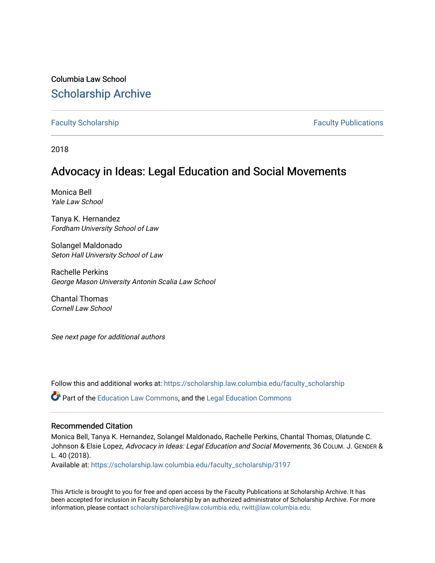## Columbia Law School [Scholarship Archive](https://scholarship.law.columbia.edu/)

[Faculty Scholarship](https://scholarship.law.columbia.edu/faculty_scholarship) **Faculty Scholarship** Faculty Publications

2018

# Advocacy in Ideas: Legal Education and Social Movements

Monica Bell Yale Law School

Tanya K. Hernandez Fordham University School of Law

Solangel Maldonado Seton Hall University School of Law

Rachelle Perkins George Mason University Antonin Scalia Law School

Chantal Thomas Cornell Law School

See next page for additional authors

Follow this and additional works at: [https://scholarship.law.columbia.edu/faculty\\_scholarship](https://scholarship.law.columbia.edu/faculty_scholarship?utm_source=scholarship.law.columbia.edu%2Ffaculty_scholarship%2F3197&utm_medium=PDF&utm_campaign=PDFCoverPages)

Part of the [Education Law Commons,](http://network.bepress.com/hgg/discipline/596?utm_source=scholarship.law.columbia.edu%2Ffaculty_scholarship%2F3197&utm_medium=PDF&utm_campaign=PDFCoverPages) and the [Legal Education Commons](http://network.bepress.com/hgg/discipline/857?utm_source=scholarship.law.columbia.edu%2Ffaculty_scholarship%2F3197&utm_medium=PDF&utm_campaign=PDFCoverPages) 

#### Recommended Citation

Monica Bell, Tanya K. Hernandez, Solangel Maldonado, Rachelle Perkins, Chantal Thomas, Olatunde C. Johnson & Elsie Lopez, Advocacy in Ideas: Legal Education and Social Movements, 36 COLUM. J. GENDER & L. 40 (2018).

Available at: [https://scholarship.law.columbia.edu/faculty\\_scholarship/3197](https://scholarship.law.columbia.edu/faculty_scholarship/3197?utm_source=scholarship.law.columbia.edu%2Ffaculty_scholarship%2F3197&utm_medium=PDF&utm_campaign=PDFCoverPages)

This Article is brought to you for free and open access by the Faculty Publications at Scholarship Archive. It has been accepted for inclusion in Faculty Scholarship by an authorized administrator of Scholarship Archive. For more information, please contact [scholarshiparchive@law.columbia.edu, rwitt@law.columbia.edu](mailto:scholarshiparchive@law.columbia.edu,%20rwitt@law.columbia.edu).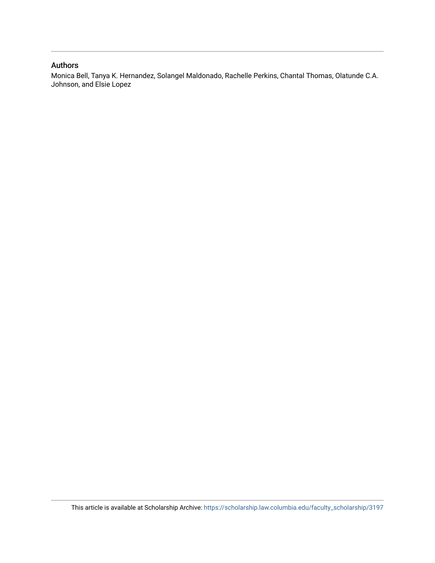### Authors

Monica Bell, Tanya K. Hernandez, Solangel Maldonado, Rachelle Perkins, Chantal Thomas, Olatunde C.A. Johnson, and Elsie Lopez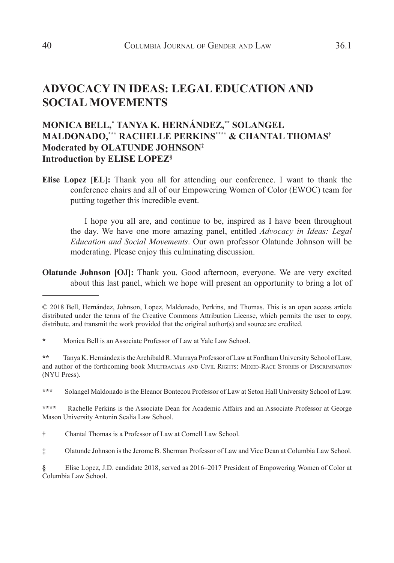## **ADVOCACY IN IDEAS: LEGAL EDUCATION AND SOCIAL MOVEMENTS**

## **MONICA BELL,\* TANYA K. HERNÁNDEZ,\*\* SOLANGEL MALDONADO,\*\*\* RACHELLE PERKINS\*\*\*\* & CHANTAL THOMAS† Moderated by OLATUNDE JOHNSON‡ Introduction by ELISE LOPEZ§**

**Elise Lopez [EL]:** Thank you all for attending our conference. I want to thank the conference chairs and all of our Empowering Women of Color (EWOC) team for putting together this incredible event.

I hope you all are, and continue to be, inspired as I have been throughout the day. We have one more amazing panel, entitled *Advocacy in Ideas: Legal Education and Social Movements*. Our own professor Olatunde Johnson will be moderating. Please enjoy this culminating discussion.

**Olatunde Johnson [OJ]:** Thank you. Good afternoon, everyone. We are very excited about this last panel, which we hope will present an opportunity to bring a lot of

**\*\*\*** Solangel Maldonado is the Eleanor Bontecou Professor of Law at Seton Hall University School of Law.

**\*\*\*\*** Rachelle Perkins is the Associate Dean for Academic Affairs and an Associate Professor at George Mason University Antonin Scalia Law School.

**†** Chantal Thomas is a Professor of Law at Cornell Law School.

<sup>© 2018</sup> Bell, Hernández, Johnson, Lopez, Maldonado, Perkins, and Thomas. This is an open access article distributed under the terms of the Creative Commons Attribution License, which permits the user to copy, distribute, and transmit the work provided that the original author(s) and source are credited.

**<sup>\*</sup>** Monica Bell is an Associate Professor of Law at Yale Law School.

**<sup>\*\*</sup>** Tanya K. Hernández is the Archibald R. Murraya Professor of Law at Fordham University School of Law, and author of the forthcoming book MULTIRACIALS AND CIVIL RIGHTS: MIXED-RACE STORIES OF DISCRIMINATION (NYU Press).

**<sup>‡</sup>** Olatunde Johnson is the Jerome B. Sherman Professor of Law and Vice Dean at Columbia Law School.

**<sup>§</sup>** Elise Lopez, J.D. candidate 2018, served as 2016–2017 President of Empowering Women of Color at Columbia Law School.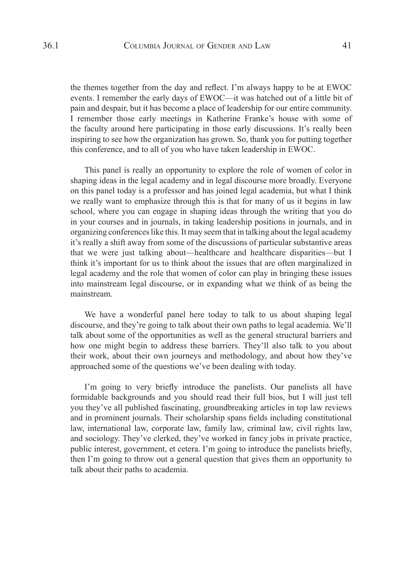the themes together from the day and reflect. I'm always happy to be at EWOC events. I remember the early days of EWOC—it was hatched out of a little bit of pain and despair, but it has become a place of leadership for our entire community. I remember those early meetings in Katherine Franke's house with some of the faculty around here participating in those early discussions. It's really been inspiring to see how the organization has grown. So, thank you for putting together this conference, and to all of you who have taken leadership in EWOC.

This panel is really an opportunity to explore the role of women of color in shaping ideas in the legal academy and in legal discourse more broadly. Everyone on this panel today is a professor and has joined legal academia, but what I think we really want to emphasize through this is that for many of us it begins in law school, where you can engage in shaping ideas through the writing that you do in your courses and in journals, in taking leadership positions in journals, and in organizing conferences like this. It may seem that in talking about the legal academy it's really a shift away from some of the discussions of particular substantive areas that we were just talking about—healthcare and healthcare disparities—but I think it's important for us to think about the issues that are often marginalized in legal academy and the role that women of color can play in bringing these issues into mainstream legal discourse, or in expanding what we think of as being the mainstream.

We have a wonderful panel here today to talk to us about shaping legal discourse, and they're going to talk about their own paths to legal academia. We'll talk about some of the opportunities as well as the general structural barriers and how one might begin to address these barriers. They'll also talk to you about their work, about their own journeys and methodology, and about how they've approached some of the questions we've been dealing with today.

I'm going to very briefly introduce the panelists. Our panelists all have formidable backgrounds and you should read their full bios, but I will just tell you they've all published fascinating, groundbreaking articles in top law reviews and in prominent journals. Their scholarship spans fields including constitutional law, international law, corporate law, family law, criminal law, civil rights law, and sociology. They've clerked, they've worked in fancy jobs in private practice, public interest, government, et cetera. I'm going to introduce the panelists briefly, then I'm going to throw out a general question that gives them an opportunity to talk about their paths to academia.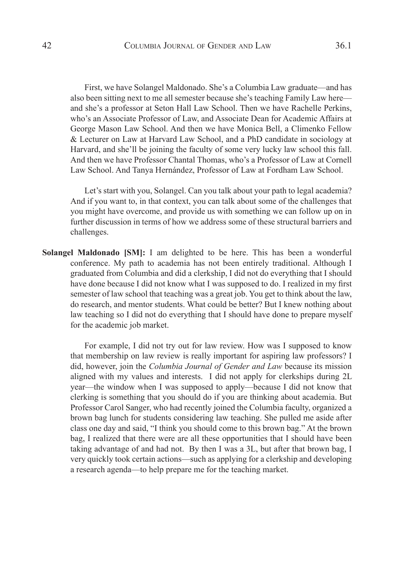First, we have Solangel Maldonado. She's a Columbia Law graduate—and has also been sitting next to me all semester because she's teaching Family Law here and she's a professor at Seton Hall Law School. Then we have Rachelle Perkins, who's an Associate Professor of Law, and Associate Dean for Academic Affairs at George Mason Law School. And then we have Monica Bell, a Climenko Fellow & Lecturer on Law at Harvard Law School, and a PhD candidate in sociology at Harvard, and she'll be joining the faculty of some very lucky law school this fall. And then we have Professor Chantal Thomas, who's a Professor of Law at Cornell Law School. And Tanya Hernández, Professor of Law at Fordham Law School.

Let's start with you, Solangel. Can you talk about your path to legal academia? And if you want to, in that context, you can talk about some of the challenges that you might have overcome, and provide us with something we can follow up on in further discussion in terms of how we address some of these structural barriers and challenges.

**Solangel Maldonado [SM]:** I am delighted to be here. This has been a wonderful conference. My path to academia has not been entirely traditional. Although I graduated from Columbia and did a clerkship, I did not do everything that I should have done because I did not know what I was supposed to do. I realized in my first semester of law school that teaching was a great job. You get to think about the law, do research, and mentor students. What could be better? But I knew nothing about law teaching so I did not do everything that I should have done to prepare myself for the academic job market.

For example, I did not try out for law review. How was I supposed to know that membership on law review is really important for aspiring law professors? I did, however, join the *Columbia Journal of Gender and Law* because its mission aligned with my values and interests. I did not apply for clerkships during 2L year—the window when I was supposed to apply—because I did not know that clerking is something that you should do if you are thinking about academia. But Professor Carol Sanger, who had recently joined the Columbia faculty, organized a brown bag lunch for students considering law teaching. She pulled me aside after class one day and said, "I think you should come to this brown bag." At the brown bag, I realized that there were are all these opportunities that I should have been taking advantage of and had not. By then I was a 3L, but after that brown bag, I very quickly took certain actions—such as applying for a clerkship and developing a research agenda—to help prepare me for the teaching market.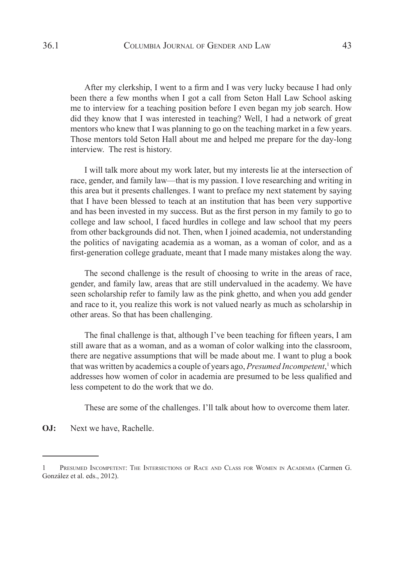After my clerkship, I went to a firm and I was very lucky because I had only been there a few months when I got a call from Seton Hall Law School asking me to interview for a teaching position before I even began my job search. How did they know that I was interested in teaching? Well, I had a network of great mentors who knew that I was planning to go on the teaching market in a few years. Those mentors told Seton Hall about me and helped me prepare for the day-long interview. The rest is history.

I will talk more about my work later, but my interests lie at the intersection of race, gender, and family law—that is my passion. I love researching and writing in this area but it presents challenges. I want to preface my next statement by saying that I have been blessed to teach at an institution that has been very supportive and has been invested in my success. But as the first person in my family to go to college and law school, I faced hurdles in college and law school that my peers from other backgrounds did not. Then, when I joined academia, not understanding the politics of navigating academia as a woman, as a woman of color, and as a first-generation college graduate, meant that I made many mistakes along the way.

The second challenge is the result of choosing to write in the areas of race, gender, and family law, areas that are still undervalued in the academy. We have seen scholarship refer to family law as the pink ghetto, and when you add gender and race to it, you realize this work is not valued nearly as much as scholarship in other areas. So that has been challenging.

The final challenge is that, although I've been teaching for fifteen years, I am still aware that as a woman, and as a woman of color walking into the classroom, there are negative assumptions that will be made about me. I want to plug a book that was written by academics a couple of years ago, *Presumed Incompetent*,<sup>1</sup> which addresses how women of color in academia are presumed to be less qualified and less competent to do the work that we do.

These are some of the challenges. I'll talk about how to overcome them later.

**OJ:** Next we have, Rachelle.

<sup>1</sup> Presumed Incompetent: The Intersections of Race and Class for Women in Academia (Carmen G. González et al. eds., 2012).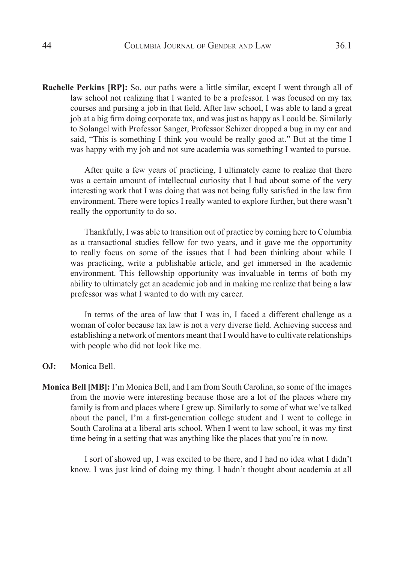**Rachelle Perkins [RP]:** So, our paths were a little similar, except I went through all of law school not realizing that I wanted to be a professor. I was focused on my tax courses and pursing a job in that field. After law school, I was able to land a great job at a big firm doing corporate tax, and was just as happy as I could be. Similarly to Solangel with Professor Sanger, Professor Schizer dropped a bug in my ear and said, "This is something I think you would be really good at." But at the time I was happy with my job and not sure academia was something I wanted to pursue.

After quite a few years of practicing, I ultimately came to realize that there was a certain amount of intellectual curiosity that I had about some of the very interesting work that I was doing that was not being fully satisfied in the law firm environment. There were topics I really wanted to explore further, but there wasn't really the opportunity to do so.

Thankfully, I was able to transition out of practice by coming here to Columbia as a transactional studies fellow for two years, and it gave me the opportunity to really focus on some of the issues that I had been thinking about while I was practicing, write a publishable article, and get immersed in the academic environment. This fellowship opportunity was invaluable in terms of both my ability to ultimately get an academic job and in making me realize that being a law professor was what I wanted to do with my career.

In terms of the area of law that I was in, I faced a different challenge as a woman of color because tax law is not a very diverse field. Achieving success and establishing a network of mentors meant that I would have to cultivate relationships with people who did not look like me.

#### **OJ:** Monica Bell.

**Monica Bell [MB]:** I'm Monica Bell, and I am from South Carolina, so some of the images from the movie were interesting because those are a lot of the places where my family is from and places where I grew up. Similarly to some of what we've talked about the panel, I'm a first-generation college student and I went to college in South Carolina at a liberal arts school. When I went to law school, it was my first time being in a setting that was anything like the places that you're in now.

I sort of showed up, I was excited to be there, and I had no idea what I didn't know. I was just kind of doing my thing. I hadn't thought about academia at all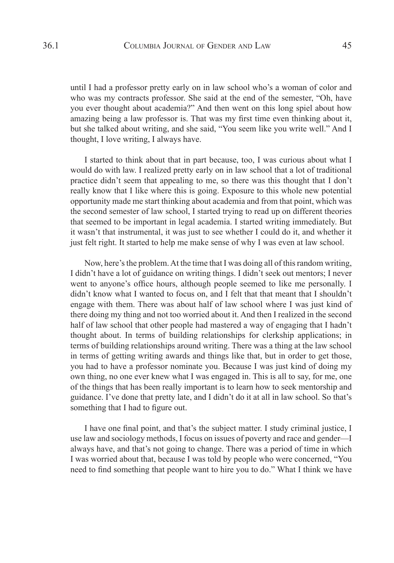until I had a professor pretty early on in law school who's a woman of color and who was my contracts professor. She said at the end of the semester, "Oh, have you ever thought about academia?" And then went on this long spiel about how amazing being a law professor is. That was my first time even thinking about it, but she talked about writing, and she said, "You seem like you write well." And I thought, I love writing, I always have.

I started to think about that in part because, too, I was curious about what I would do with law. I realized pretty early on in law school that a lot of traditional practice didn't seem that appealing to me, so there was this thought that I don't really know that I like where this is going. Exposure to this whole new potential opportunity made me start thinking about academia and from that point, which was the second semester of law school, I started trying to read up on different theories that seemed to be important in legal academia. I started writing immediately. But it wasn't that instrumental, it was just to see whether I could do it, and whether it just felt right. It started to help me make sense of why I was even at law school.

Now, here's the problem. At the time that I was doing all of this random writing, I didn't have a lot of guidance on writing things. I didn't seek out mentors; I never went to anyone's office hours, although people seemed to like me personally. I didn't know what I wanted to focus on, and I felt that that meant that I shouldn't engage with them. There was about half of law school where I was just kind of there doing my thing and not too worried about it. And then I realized in the second half of law school that other people had mastered a way of engaging that I hadn't thought about. In terms of building relationships for clerkship applications; in terms of building relationships around writing. There was a thing at the law school in terms of getting writing awards and things like that, but in order to get those, you had to have a professor nominate you. Because I was just kind of doing my own thing, no one ever knew what I was engaged in. This is all to say, for me, one of the things that has been really important is to learn how to seek mentorship and guidance. I've done that pretty late, and I didn't do it at all in law school. So that's something that I had to figure out.

I have one final point, and that's the subject matter. I study criminal justice, I use law and sociology methods, I focus on issues of poverty and race and gender—I always have, and that's not going to change. There was a period of time in which I was worried about that, because I was told by people who were concerned, "You need to find something that people want to hire you to do." What I think we have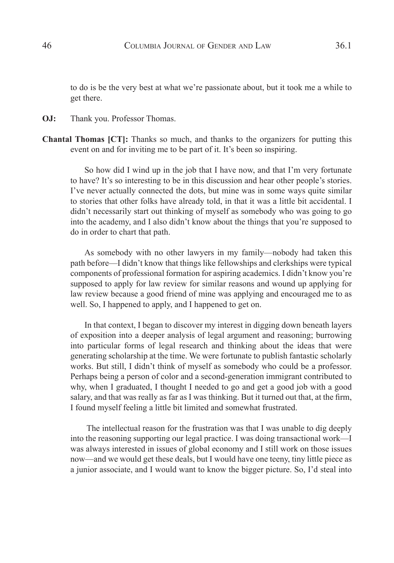to do is be the very best at what we're passionate about, but it took me a while to get there.

**OJ:** Thank you. Professor Thomas.

**Chantal Thomas [CT]:** Thanks so much, and thanks to the organizers for putting this event on and for inviting me to be part of it. It's been so inspiring.

So how did I wind up in the job that I have now, and that I'm very fortunate to have? It's so interesting to be in this discussion and hear other people's stories. I've never actually connected the dots, but mine was in some ways quite similar to stories that other folks have already told, in that it was a little bit accidental. I didn't necessarily start out thinking of myself as somebody who was going to go into the academy, and I also didn't know about the things that you're supposed to do in order to chart that path.

As somebody with no other lawyers in my family—nobody had taken this path before—I didn't know that things like fellowships and clerkships were typical components of professional formation for aspiring academics. I didn't know you're supposed to apply for law review for similar reasons and wound up applying for law review because a good friend of mine was applying and encouraged me to as well. So, I happened to apply, and I happened to get on.

In that context, I began to discover my interest in digging down beneath layers of exposition into a deeper analysis of legal argument and reasoning; burrowing into particular forms of legal research and thinking about the ideas that were generating scholarship at the time. We were fortunate to publish fantastic scholarly works. But still, I didn't think of myself as somebody who could be a professor. Perhaps being a person of color and a second-generation immigrant contributed to why, when I graduated, I thought I needed to go and get a good job with a good salary, and that was really as far as I was thinking. But it turned out that, at the firm, I found myself feeling a little bit limited and somewhat frustrated.

 The intellectual reason for the frustration was that I was unable to dig deeply into the reasoning supporting our legal practice. I was doing transactional work—I was always interested in issues of global economy and I still work on those issues now—and we would get these deals, but I would have one teeny, tiny little piece as a junior associate, and I would want to know the bigger picture. So, I'd steal into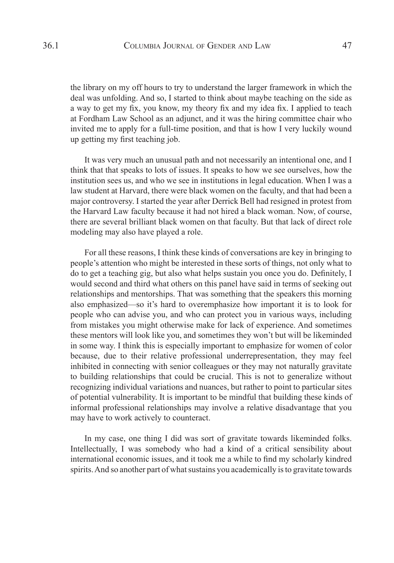the library on my off hours to try to understand the larger framework in which the deal was unfolding. And so, I started to think about maybe teaching on the side as a way to get my fix, you know, my theory fix and my idea fix. I applied to teach at Fordham Law School as an adjunct, and it was the hiring committee chair who invited me to apply for a full-time position, and that is how I very luckily wound up getting my first teaching job.

It was very much an unusual path and not necessarily an intentional one, and I think that that speaks to lots of issues. It speaks to how we see ourselves, how the institution sees us, and who we see in institutions in legal education. When I was a law student at Harvard, there were black women on the faculty, and that had been a major controversy. I started the year after Derrick Bell had resigned in protest from the Harvard Law faculty because it had not hired a black woman. Now, of course, there are several brilliant black women on that faculty. But that lack of direct role modeling may also have played a role.

For all these reasons, I think these kinds of conversations are key in bringing to people's attention who might be interested in these sorts of things, not only what to do to get a teaching gig, but also what helps sustain you once you do. Definitely, I would second and third what others on this panel have said in terms of seeking out relationships and mentorships. That was something that the speakers this morning also emphasized—so it's hard to overemphasize how important it is to look for people who can advise you, and who can protect you in various ways, including from mistakes you might otherwise make for lack of experience. And sometimes these mentors will look like you, and sometimes they won't but will be likeminded in some way. I think this is especially important to emphasize for women of color because, due to their relative professional underrepresentation, they may feel inhibited in connecting with senior colleagues or they may not naturally gravitate to building relationships that could be crucial. This is not to generalize without recognizing individual variations and nuances, but rather to point to particular sites of potential vulnerability. It is important to be mindful that building these kinds of informal professional relationships may involve a relative disadvantage that you may have to work actively to counteract.

In my case, one thing I did was sort of gravitate towards likeminded folks. Intellectually, I was somebody who had a kind of a critical sensibility about international economic issues, and it took me a while to find my scholarly kindred spirits. And so another part of what sustains you academically is to gravitate towards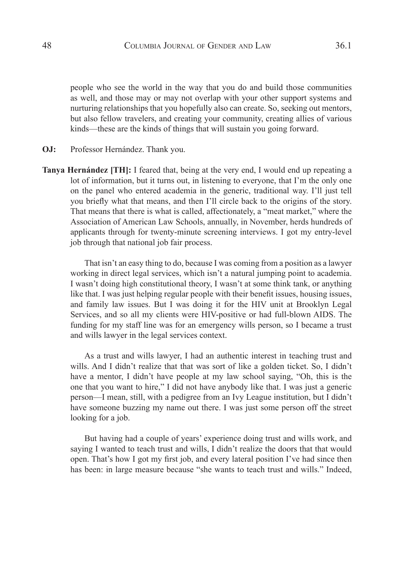people who see the world in the way that you do and build those communities as well, and those may or may not overlap with your other support systems and nurturing relationships that you hopefully also can create. So, seeking out mentors, but also fellow travelers, and creating your community, creating allies of various kinds—these are the kinds of things that will sustain you going forward.

- **OJ:** Professor Hernández. Thank you.
- **Tanya Hernández [TH]:** I feared that, being at the very end, I would end up repeating a lot of information, but it turns out, in listening to everyone, that I'm the only one on the panel who entered academia in the generic, traditional way. I'll just tell you briefly what that means, and then I'll circle back to the origins of the story. That means that there is what is called, affectionately, a "meat market," where the Association of American Law Schools, annually, in November, herds hundreds of applicants through for twenty-minute screening interviews. I got my entry-level job through that national job fair process.

That isn't an easy thing to do, because I was coming from a position as a lawyer working in direct legal services, which isn't a natural jumping point to academia. I wasn't doing high constitutional theory, I wasn't at some think tank, or anything like that. I was just helping regular people with their benefit issues, housing issues, and family law issues. But I was doing it for the HIV unit at Brooklyn Legal Services, and so all my clients were HIV-positive or had full-blown AIDS. The funding for my staff line was for an emergency wills person, so I became a trust and wills lawyer in the legal services context.

As a trust and wills lawyer, I had an authentic interest in teaching trust and wills. And I didn't realize that that was sort of like a golden ticket. So, I didn't have a mentor, I didn't have people at my law school saying, "Oh, this is the one that you want to hire," I did not have anybody like that. I was just a generic person—I mean, still, with a pedigree from an Ivy League institution, but I didn't have someone buzzing my name out there. I was just some person off the street looking for a job.

But having had a couple of years' experience doing trust and wills work, and saying I wanted to teach trust and wills, I didn't realize the doors that that would open. That's how I got my first job, and every lateral position I've had since then has been: in large measure because "she wants to teach trust and wills." Indeed,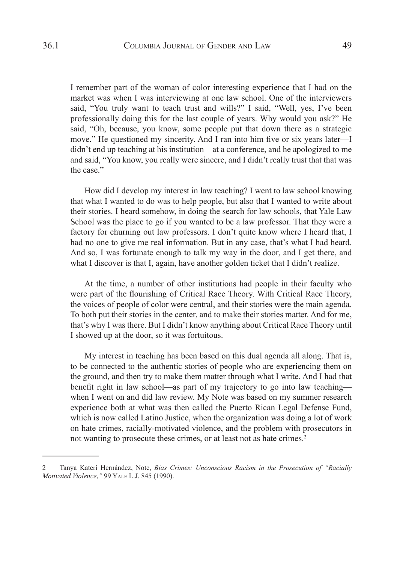I remember part of the woman of color interesting experience that I had on the market was when I was interviewing at one law school. One of the interviewers said, "You truly want to teach trust and wills?" I said, "Well, yes, I've been professionally doing this for the last couple of years. Why would you ask?" He said, "Oh, because, you know, some people put that down there as a strategic move." He questioned my sincerity. And I ran into him five or six years later—I didn't end up teaching at his institution—at a conference, and he apologized to me and said, "You know, you really were sincere, and I didn't really trust that that was the case."

How did I develop my interest in law teaching? I went to law school knowing that what I wanted to do was to help people, but also that I wanted to write about their stories. I heard somehow, in doing the search for law schools, that Yale Law School was the place to go if you wanted to be a law professor. That they were a factory for churning out law professors. I don't quite know where I heard that, I had no one to give me real information. But in any case, that's what I had heard. And so, I was fortunate enough to talk my way in the door, and I get there, and what I discover is that I, again, have another golden ticket that I didn't realize.

At the time, a number of other institutions had people in their faculty who were part of the flourishing of Critical Race Theory. With Critical Race Theory, the voices of people of color were central, and their stories were the main agenda. To both put their stories in the center, and to make their stories matter. And for me, that's why I was there. But I didn't know anything about Critical Race Theory until I showed up at the door, so it was fortuitous.

My interest in teaching has been based on this dual agenda all along. That is, to be connected to the authentic stories of people who are experiencing them on the ground, and then try to make them matter through what I write. And I had that benefit right in law school—as part of my trajectory to go into law teaching when I went on and did law review. My Note was based on my summer research experience both at what was then called the Puerto Rican Legal Defense Fund, which is now called Latino Justice, when the organization was doing a lot of work on hate crimes, racially-motivated violence, and the problem with prosecutors in not wanting to prosecute these crimes, or at least not as hate crimes.<sup>2</sup>

<sup>2</sup> Tanya Katerí Hernández, Note, *Bias Crimes: Unconscious Racism in the Prosecution of "Racially Motivated Violence*,*"* 99 Yale L.J. 845 (1990).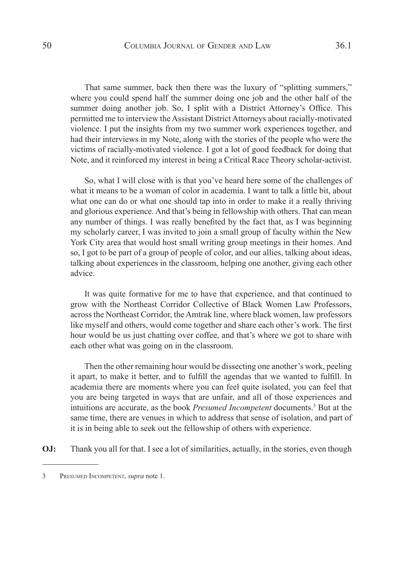That same summer, back then there was the luxury of "splitting summers," where you could spend half the summer doing one job and the other half of the summer doing another job. So, I split with a District Attorney's Office. This permitted me to interview the Assistant District Attorneys about racially-motivated violence. I put the insights from my two summer work experiences together, and had their interviews in my Note, along with the stories of the people who were the victims of racially-motivated violence. I got a lot of good feedback for doing that Note, and it reinforced my interest in being a Critical Race Theory scholar-activist.

So, what I will close with is that you've heard here some of the challenges of what it means to be a woman of color in academia. I want to talk a little bit, about what one can do or what one should tap into in order to make it a really thriving and glorious experience. And that's being in fellowship with others. That can mean any number of things. I was really benefited by the fact that, as I was beginning my scholarly career, I was invited to join a small group of faculty within the New York City area that would host small writing group meetings in their homes. And so, I got to be part of a group of people of color, and our allies, talking about ideas, talking about experiences in the classroom, helping one another, giving each other advice.

It was quite formative for me to have that experience, and that continued to grow with the Northeast Corridor Collective of Black Women Law Professors, across the Northeast Corridor, the Amtrak line, where black women, law professors like myself and others, would come together and share each other's work. The first hour would be us just chatting over coffee, and that's where we got to share with each other what was going on in the classroom.

Then the other remaining hour would be dissecting one another's work, peeling it apart, to make it better, and to fulfill the agendas that we wanted to fulfill. In academia there are moments where you can feel quite isolated, you can feel that you are being targeted in ways that are unfair, and all of those experiences and intuitions are accurate, as the book *Presumed Incompetent* documents.3 But at the same time, there are venues in which to address that sense of isolation, and part of it is in being able to seek out the fellowship of others with experience.

**OJ:** Thank you all for that. I see a lot of similarities, actually, in the stories, even though

<sup>3</sup> Presumed Incompetent, *supra* note 1.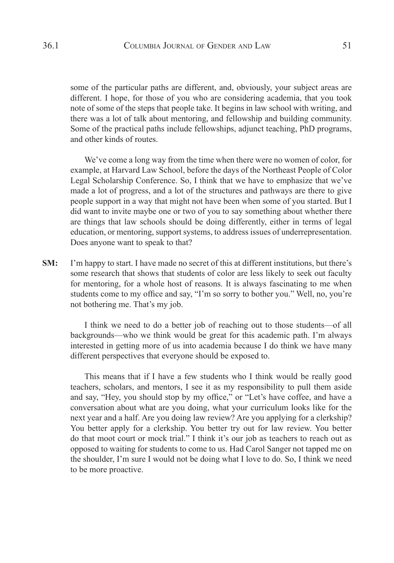some of the particular paths are different, and, obviously, your subject areas are different. I hope, for those of you who are considering academia, that you took note of some of the steps that people take. It begins in law school with writing, and there was a lot of talk about mentoring, and fellowship and building community. Some of the practical paths include fellowships, adjunct teaching, PhD programs, and other kinds of routes.

We've come a long way from the time when there were no women of color, for example, at Harvard Law School, before the days of the Northeast People of Color Legal Scholarship Conference. So, I think that we have to emphasize that we've made a lot of progress, and a lot of the structures and pathways are there to give people support in a way that might not have been when some of you started. But I did want to invite maybe one or two of you to say something about whether there are things that law schools should be doing differently, either in terms of legal education, or mentoring, support systems, to address issues of underrepresentation. Does anyone want to speak to that?

**SM:** I'm happy to start. I have made no secret of this at different institutions, but there's some research that shows that students of color are less likely to seek out faculty for mentoring, for a whole host of reasons. It is always fascinating to me when students come to my office and say, "I'm so sorry to bother you." Well, no, you're not bothering me. That's my job.

I think we need to do a better job of reaching out to those students—of all backgrounds—who we think would be great for this academic path. I'm always interested in getting more of us into academia because I do think we have many different perspectives that everyone should be exposed to.

This means that if I have a few students who I think would be really good teachers, scholars, and mentors, I see it as my responsibility to pull them aside and say, "Hey, you should stop by my office," or "Let's have coffee, and have a conversation about what are you doing, what your curriculum looks like for the next year and a half. Are you doing law review? Are you applying for a clerkship? You better apply for a clerkship. You better try out for law review. You better do that moot court or mock trial." I think it's our job as teachers to reach out as opposed to waiting for students to come to us. Had Carol Sanger not tapped me on the shoulder, I'm sure I would not be doing what I love to do. So, I think we need to be more proactive.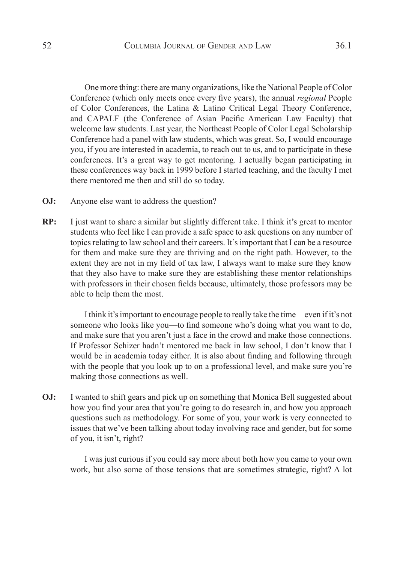One more thing: there are many organizations, like the National People of Color Conference (which only meets once every five years), the annual *regional* People of Color Conferences, the Latina & Latino Critical Legal Theory Conference, and CAPALF (the Conference of Asian Pacific American Law Faculty) that welcome law students. Last year, the Northeast People of Color Legal Scholarship Conference had a panel with law students, which was great. So, I would encourage you, if you are interested in academia, to reach out to us, and to participate in these conferences. It's a great way to get mentoring. I actually began participating in these conferences way back in 1999 before I started teaching, and the faculty I met there mentored me then and still do so today.

- **OJ:** Anyone else want to address the question?
- **RP:** I just want to share a similar but slightly different take. I think it's great to mentor students who feel like I can provide a safe space to ask questions on any number of topics relating to law school and their careers. It's important that I can be a resource for them and make sure they are thriving and on the right path. However, to the extent they are not in my field of tax law, I always want to make sure they know that they also have to make sure they are establishing these mentor relationships with professors in their chosen fields because, ultimately, those professors may be able to help them the most.

I think it's important to encourage people to really take the time—even if it's not someone who looks like you—to find someone who's doing what you want to do, and make sure that you aren't just a face in the crowd and make those connections. If Professor Schizer hadn't mentored me back in law school, I don't know that I would be in academia today either. It is also about finding and following through with the people that you look up to on a professional level, and make sure you're making those connections as well.

**OJ:** I wanted to shift gears and pick up on something that Monica Bell suggested about how you find your area that you're going to do research in, and how you approach questions such as methodology. For some of you, your work is very connected to issues that we've been talking about today involving race and gender, but for some of you, it isn't, right?

I was just curious if you could say more about both how you came to your own work, but also some of those tensions that are sometimes strategic, right? A lot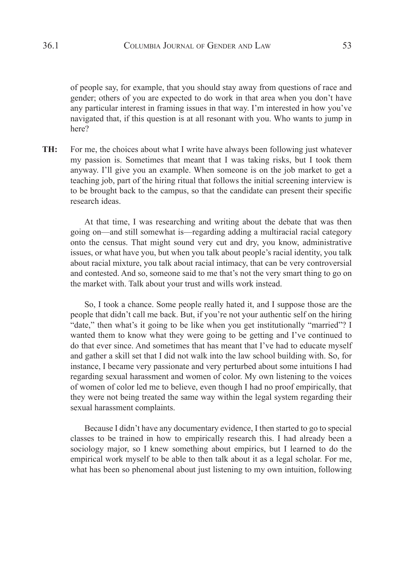of people say, for example, that you should stay away from questions of race and gender; others of you are expected to do work in that area when you don't have any particular interest in framing issues in that way. I'm interested in how you've navigated that, if this question is at all resonant with you. Who wants to jump in here?

**TH:** For me, the choices about what I write have always been following just whatever my passion is. Sometimes that meant that I was taking risks, but I took them anyway. I'll give you an example. When someone is on the job market to get a teaching job, part of the hiring ritual that follows the initial screening interview is to be brought back to the campus, so that the candidate can present their specific research ideas.

At that time, I was researching and writing about the debate that was then going on—and still somewhat is—regarding adding a multiracial racial category onto the census. That might sound very cut and dry, you know, administrative issues, or what have you, but when you talk about people's racial identity, you talk about racial mixture, you talk about racial intimacy, that can be very controversial and contested. And so, someone said to me that's not the very smart thing to go on the market with. Talk about your trust and wills work instead.

So, I took a chance. Some people really hated it, and I suppose those are the people that didn't call me back. But, if you're not your authentic self on the hiring "date," then what's it going to be like when you get institutionally "married"? I wanted them to know what they were going to be getting and I've continued to do that ever since. And sometimes that has meant that I've had to educate myself and gather a skill set that I did not walk into the law school building with. So, for instance, I became very passionate and very perturbed about some intuitions I had regarding sexual harassment and women of color. My own listening to the voices of women of color led me to believe, even though I had no proof empirically, that they were not being treated the same way within the legal system regarding their sexual harassment complaints.

Because I didn't have any documentary evidence, I then started to go to special classes to be trained in how to empirically research this. I had already been a sociology major, so I knew something about empirics, but I learned to do the empirical work myself to be able to then talk about it as a legal scholar. For me, what has been so phenomenal about just listening to my own intuition, following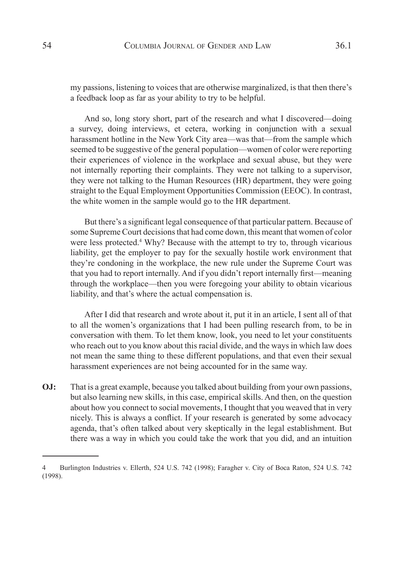my passions, listening to voices that are otherwise marginalized, is that then there's a feedback loop as far as your ability to try to be helpful.

And so, long story short, part of the research and what I discovered—doing a survey, doing interviews, et cetera, working in conjunction with a sexual harassment hotline in the New York City area—was that—from the sample which seemed to be suggestive of the general population—women of color were reporting their experiences of violence in the workplace and sexual abuse, but they were not internally reporting their complaints. They were not talking to a supervisor, they were not talking to the Human Resources (HR) department, they were going straight to the Equal Employment Opportunities Commission (EEOC). In contrast, the white women in the sample would go to the HR department.

But there's a significant legal consequence of that particular pattern. Because of some Supreme Court decisions that had come down, this meant that women of color were less protected.<sup>4</sup> Why? Because with the attempt to try to, through vicarious liability, get the employer to pay for the sexually hostile work environment that they're condoning in the workplace, the new rule under the Supreme Court was that you had to report internally. And if you didn't report internally first—meaning through the workplace—then you were foregoing your ability to obtain vicarious liability, and that's where the actual compensation is.

After I did that research and wrote about it, put it in an article, I sent all of that to all the women's organizations that I had been pulling research from, to be in conversation with them. To let them know, look, you need to let your constituents who reach out to you know about this racial divide, and the ways in which law does not mean the same thing to these different populations, and that even their sexual harassment experiences are not being accounted for in the same way.

**OJ:** That is a great example, because you talked about building from your own passions, but also learning new skills, in this case, empirical skills. And then, on the question about how you connect to social movements, I thought that you weaved that in very nicely. This is always a conflict. If your research is generated by some advocacy agenda, that's often talked about very skeptically in the legal establishment. But there was a way in which you could take the work that you did, and an intuition

<sup>4</sup> Burlington Industries v. Ellerth, 524 U.S. 742 (1998); Faragher v. City of Boca Raton, 524 U.S. 742 (1998).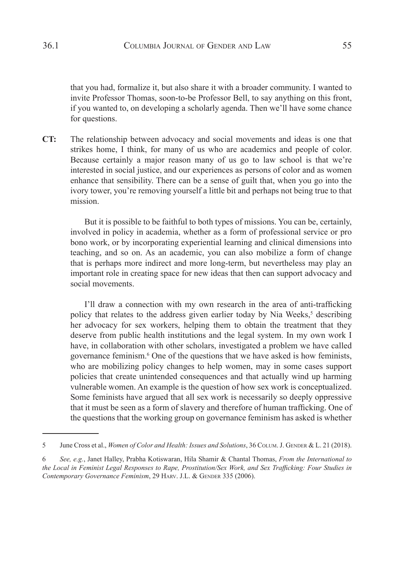that you had, formalize it, but also share it with a broader community. I wanted to invite Professor Thomas, soon-to-be Professor Bell, to say anything on this front, if you wanted to, on developing a scholarly agenda. Then we'll have some chance for questions.

**CT:** The relationship between advocacy and social movements and ideas is one that strikes home, I think, for many of us who are academics and people of color. Because certainly a major reason many of us go to law school is that we're interested in social justice, and our experiences as persons of color and as women enhance that sensibility. There can be a sense of guilt that, when you go into the ivory tower, you're removing yourself a little bit and perhaps not being true to that mission.

But it is possible to be faithful to both types of missions. You can be, certainly, involved in policy in academia, whether as a form of professional service or pro bono work, or by incorporating experiential learning and clinical dimensions into teaching, and so on. As an academic, you can also mobilize a form of change that is perhaps more indirect and more long-term, but nevertheless may play an important role in creating space for new ideas that then can support advocacy and social movements.

I'll draw a connection with my own research in the area of anti-trafficking policy that relates to the address given earlier today by Nia Weeks,<sup>5</sup> describing her advocacy for sex workers, helping them to obtain the treatment that they deserve from public health institutions and the legal system. In my own work I have, in collaboration with other scholars, investigated a problem we have called governance feminism.6 One of the questions that we have asked is how feminists, who are mobilizing policy changes to help women, may in some cases support policies that create unintended consequences and that actually wind up harming vulnerable women. An example is the question of how sex work is conceptualized. Some feminists have argued that all sex work is necessarily so deeply oppressive that it must be seen as a form of slavery and therefore of human trafficking. One of the questions that the working group on governance feminism has asked is whether

<sup>5</sup> June Cross et al., *Women of Color and Health: Issues and Solutions*, 36 COLUM. J. GENDER & L. 21 (2018).

<sup>6</sup> *See, e.g.*, Janet Halley, Prabha Kotiswaran, Hila Shamir & Chantal Thomas, *From the International to the Local in Feminist Legal Responses to Rape, Prostitution/Sex Work, and Sex Trafficking: Four Studies in*  Contemporary Governance Feminism, 29 HARV. J.L. & GENDER 335 (2006).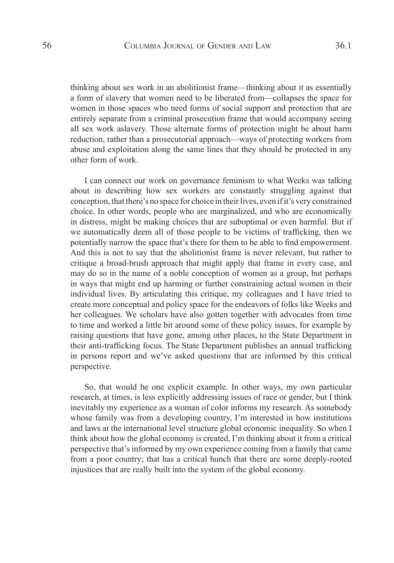thinking about sex work in an abolitionist frame—thinking about it as essentially a form of slavery that women need to be liberated from—collapses the space for women in those spaces who need forms of social support and protection that are entirely separate from a criminal prosecution frame that would accompany seeing all sex work aslavery. Those alternate forms of protection might be about harm reduction, rather than a prosecutorial approach—ways of protecting workers from abuse and exploitation along the same lines that they should be protected in any other form of work.

I can connect our work on governance feminism to what Weeks was talking about in describing how sex workers are constantly struggling against that conception, that there's no space for choice in their lives, even if it's very constrained choice. In other words, people who are marginalized, and who are economically in distress, might be making choices that are suboptimal or even harmful. But if we automatically deem all of those people to be victims of trafficking, then we potentially narrow the space that's there for them to be able to find empowerment. And this is not to say that the abolitionist frame is never relevant, but rather to critique a broad-brush approach that might apply that frame in every case, and may do so in the name of a noble conception of women as a group, but perhaps in ways that might end up harming or further constraining actual women in their individual lives. By articulating this critique, my colleagues and I have tried to create more conceptual and policy space for the endeavors of folks like Weeks and her colleagues. We scholars have also gotten together with advocates from time to time and worked a little bit around some of these policy issues, for example by raising questions that have gone, among other places, to the State Department in their anti-trafficking focus. The State Department publishes an annual trafficking in persons report and we've asked questions that are informed by this critical perspective.

So, that would be one explicit example. In other ways, my own particular research, at times, is less explicitly addressing issues of race or gender, but I think inevitably my experience as a woman of color informs my research. As somebody whose family was from a developing country, I'm interested in how institutions and laws at the international level structure global economic inequality. So when I think about how the global economy is created, I'm thinking about it from a critical perspective that's informed by my own experience coming from a family that came from a poor country; that has a critical hunch that there are some deeply-rooted injustices that are really built into the system of the global economy.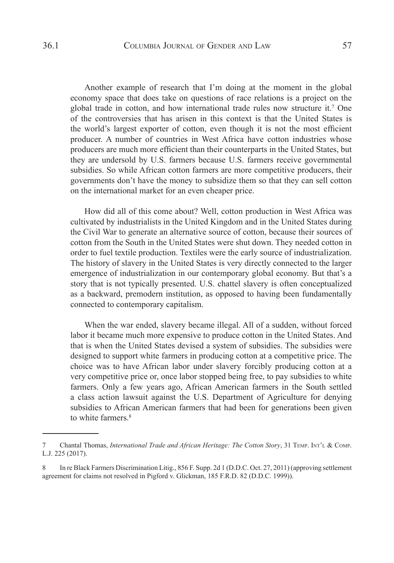Another example of research that I'm doing at the moment in the global economy space that does take on questions of race relations is a project on the global trade in cotton, and how international trade rules now structure it.7 One of the controversies that has arisen in this context is that the United States is the world's largest exporter of cotton, even though it is not the most efficient producer. A number of countries in West Africa have cotton industries whose producers are much more efficient than their counterparts in the United States, but they are undersold by U.S. farmers because U.S. farmers receive governmental subsidies. So while African cotton farmers are more competitive producers, their governments don't have the money to subsidize them so that they can sell cotton on the international market for an even cheaper price.

How did all of this come about? Well, cotton production in West Africa was cultivated by industrialists in the United Kingdom and in the United States during the Civil War to generate an alternative source of cotton, because their sources of cotton from the South in the United States were shut down. They needed cotton in order to fuel textile production. Textiles were the early source of industrialization. The history of slavery in the United States is very directly connected to the larger emergence of industrialization in our contemporary global economy. But that's a story that is not typically presented. U.S. chattel slavery is often conceptualized as a backward, premodern institution, as opposed to having been fundamentally connected to contemporary capitalism.

When the war ended, slavery became illegal. All of a sudden, without forced labor it became much more expensive to produce cotton in the United States. And that is when the United States devised a system of subsidies. The subsidies were designed to support white farmers in producing cotton at a competitive price. The choice was to have African labor under slavery forcibly producing cotton at a very competitive price or, once labor stopped being free, to pay subsidies to white farmers. Only a few years ago, African American farmers in the South settled a class action lawsuit against the U.S. Department of Agriculture for denying subsidies to African American farmers that had been for generations been given to white farmers<sup>8</sup>

<sup>7</sup> Chantal Thomas, *International Trade and African Heritage: The Cotton Story*, 31 TEMP. INT'L & COMP. L.J. 225 (2017).

<sup>8</sup> In re Black Farmers Discrimination Litig., 856 F. Supp. 2d 1 (D.D.C. Oct. 27, 2011) (approving settlement agreement for claims not resolved in Pigford v. Glickman, 185 F.R.D. 82 (D.D.C. 1999)).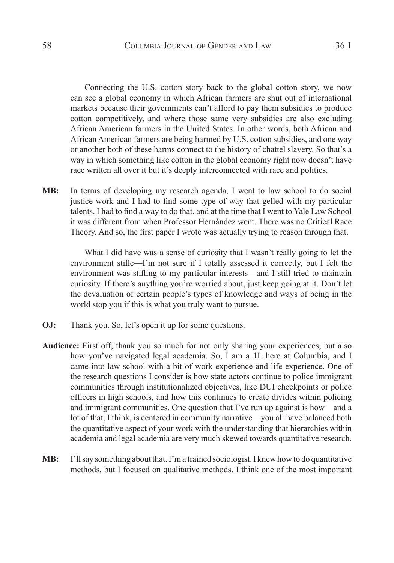Connecting the U.S. cotton story back to the global cotton story, we now can see a global economy in which African farmers are shut out of international markets because their governments can't afford to pay them subsidies to produce cotton competitively, and where those same very subsidies are also excluding African American farmers in the United States. In other words, both African and African American farmers are being harmed by U.S. cotton subsidies, and one way or another both of these harms connect to the history of chattel slavery. So that's a way in which something like cotton in the global economy right now doesn't have race written all over it but it's deeply interconnected with race and politics.

**MB:** In terms of developing my research agenda, I went to law school to do social justice work and I had to find some type of way that gelled with my particular talents. I had to find a way to do that, and at the time that I went to Yale Law School it was different from when Professor Hernández went. There was no Critical Race Theory. And so, the first paper I wrote was actually trying to reason through that.

What I did have was a sense of curiosity that I wasn't really going to let the environment stifle—I'm not sure if I totally assessed it correctly, but I felt the environment was stifling to my particular interests—and I still tried to maintain curiosity. If there's anything you're worried about, just keep going at it. Don't let the devaluation of certain people's types of knowledge and ways of being in the world stop you if this is what you truly want to pursue.

- **OJ:** Thank you. So, let's open it up for some questions.
- **Audience:** First off, thank you so much for not only sharing your experiences, but also how you've navigated legal academia. So, I am a 1L here at Columbia, and I came into law school with a bit of work experience and life experience. One of the research questions I consider is how state actors continue to police immigrant communities through institutionalized objectives, like DUI checkpoints or police officers in high schools, and how this continues to create divides within policing and immigrant communities. One question that I've run up against is how—and a lot of that, I think, is centered in community narrative—you all have balanced both the quantitative aspect of your work with the understanding that hierarchies within academia and legal academia are very much skewed towards quantitative research.
- **MB:** I'll say something about that. I'm a trained sociologist. I knew how to do quantitative methods, but I focused on qualitative methods. I think one of the most important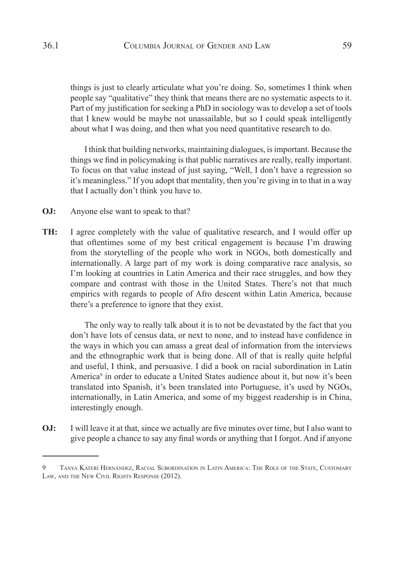things is just to clearly articulate what you're doing. So, sometimes I think when people say "qualitative" they think that means there are no systematic aspects to it. Part of my justification for seeking a PhD in sociology was to develop a set of tools that I knew would be maybe not unassailable, but so I could speak intelligently about what I was doing, and then what you need quantitative research to do.

I think that building networks, maintaining dialogues, is important. Because the things we find in policymaking is that public narratives are really, really important. To focus on that value instead of just saying, "Well, I don't have a regression so it's meaningless." If you adopt that mentality, then you're giving in to that in a way that I actually don't think you have to.

- **OJ:** Anyone else want to speak to that?
- **TH:** I agree completely with the value of qualitative research, and I would offer up that oftentimes some of my best critical engagement is because I'm drawing from the storytelling of the people who work in NGOs, both domestically and internationally. A large part of my work is doing comparative race analysis, so I'm looking at countries in Latin America and their race struggles, and how they compare and contrast with those in the United States. There's not that much empirics with regards to people of Afro descent within Latin America, because there's a preference to ignore that they exist.

The only way to really talk about it is to not be devastated by the fact that you don't have lots of census data, or next to none, and to instead have confidence in the ways in which you can amass a great deal of information from the interviews and the ethnographic work that is being done. All of that is really quite helpful and useful, I think, and persuasive. I did a book on racial subordination in Latin America<sup>9</sup> in order to educate a United States audience about it, but now it's been translated into Spanish, it's been translated into Portuguese, it's used by NGOs, internationally, in Latin America, and some of my biggest readership is in China, interestingly enough.

**OJ:** I will leave it at that, since we actually are five minutes over time, but I also want to give people a chance to say any final words or anything that I forgot. And if anyone

<sup>9</sup> Tanya Katerí Hernández, Racial Subordination in Latin America: The Role of the State, Customary Law, and the New Civil Rights Response (2012).